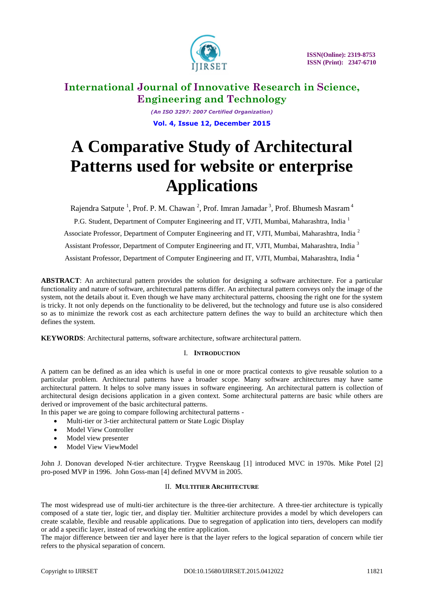

*(An ISO 3297: 2007 Certified Organization)* **Vol. 4, Issue 12, December 2015**

# **A Comparative Study of Architectural Patterns used for website or enterprise Applications**

Rajendra Satpute<sup>1</sup>, Prof. P. M. Chawan<sup>2</sup>, Prof. Imran Jamadar<sup>3</sup>, Prof. Bhumesh Masram<sup>4</sup>

P.G. Student, Department of Computer Engineering and IT, VJTI, Mumbai, Maharashtra, India<sup>1</sup>

Associate Professor, Department of Computer Engineering and IT, VJTI, Mumbai, Maharashtra, India <sup>2</sup>

Assistant Professor, Department of Computer Engineering and IT, VJTI, Mumbai, Maharashtra, India<sup>3</sup>

Assistant Professor, Department of Computer Engineering and IT, VJTI, Mumbai, Maharashtra, India <sup>4</sup>

**ABSTRACT**: An architectural pattern provides the solution for designing a software architecture. For a particular functionality and nature of software, architectural patterns differ. An architectural pattern conveys only the image of the system, not the details about it. Even though we have many architectural patterns, choosing the right one for the system is tricky. It not only depends on the functionality to be delivered, but the technology and future use is also considered so as to minimize the rework cost as each architecture pattern defines the way to build an architecture which then defines the system.

**KEYWORDS**: Architectural patterns, software architecture, software architectural pattern.

## I. **INTRODUCTION**

A pattern can be defined as an idea which is useful in one or more practical contexts to give reusable solution to a particular problem. Architectural patterns have a broader scope. Many software architectures may have same architectural pattern. It helps to solve many issues in software engineering. An architectural pattern is collection of architectural design decisions application in a given context. Some architectural patterns are basic while others are derived or improvement of the basic architectural patterns.

In this paper we are going to compare following architectural patterns -

- Multi-tier or 3-tier architectural pattern or State Logic Display
- Model View Controller
- Model view presenter
- Model View ViewModel

John J. Donovan developed N-tier architecture. Trygve Reenskaug [1] introduced MVC in 1970s. Mike Potel [2] pro-posed MVP in 1996. John Goss-man [4] defined MVVM in 2005.

## II. **MULTITIER ARCHITECTURE**

The most widespread use of multi-tier architecture is the three-tier architecture. A three-tier architecture is typically composed of a state tier, logic tier, and display tier. Multitier architecture provides a model by which developers can create scalable, flexible and reusable applications. Due to segregation of application into tiers, developers can modify or add a specific layer, instead of reworking the entire application.

The major difference between tier and layer here is that the layer refers to the logical separation of concern while tier refers to the physical separation of concern.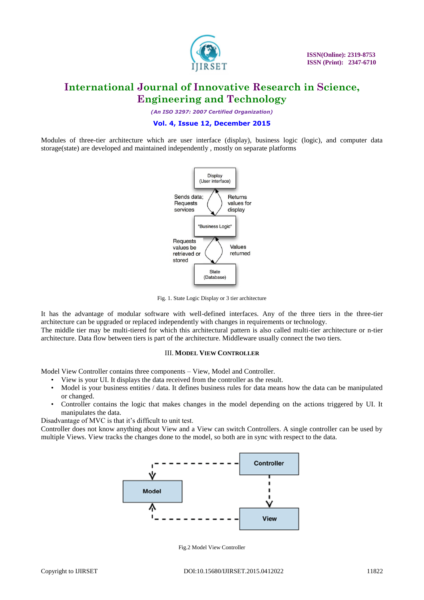

*(An ISO 3297: 2007 Certified Organization)*

## **Vol. 4, Issue 12, December 2015**

Modules of three-tier architecture which are user interface (display), business logic (logic), and computer data storage(state) are developed and maintained independently , mostly on separate platforms



Fig. 1. State Logic Display or 3 tier architecture

It has the advantage of modular software with well-defined interfaces. Any of the three tiers in the three-tier architecture can be upgraded or replaced independently with changes in requirements or technology.

The middle tier may be multi-tiered for which this architectural pattern is also called multi-tier architecture or n-tier architecture. Data flow between tiers is part of the architecture. Middleware usually connect the two tiers.

### III. **MODEL VIEW CONTROLLER**

Model View Controller contains three components – View, Model and Controller.

- View is your UI. It displays the data received from the controller as the result.
- Model is your business entities / data. It defines business rules for data means how the data can be manipulated or changed.
- Controller contains the logic that makes changes in the model depending on the actions triggered by UI. It manipulates the data.

Disadvantage of MVC is that it's difficult to unit test.

Controller does not know anything about View and a View can switch Controllers. A single controller can be used by multiple Views. View tracks the changes done to the model, so both are in sync with respect to the data.



Fig.2 Model View Controller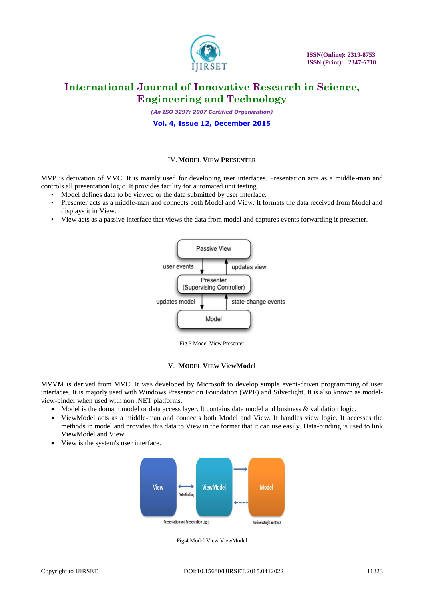

*(An ISO 3297: 2007 Certified Organization)*

#### **Vol. 4, Issue 12, December 2015**

#### IV.**MODEL VIEW PRESENTER**

MVP is derivation of MVC. It is mainly used for developing user interfaces. Presentation acts as a middle-man and controls all presentation logic. It provides facility for automated unit testing.

- Model defines data to be viewed or the data submitted by user interface.
- Presenter acts as a middle-man and connects both Model and View. It formats the data received from Model and displays it in View.
- View acts as a passive interface that views the data from model and captures events forwarding it presenter.



Fig.3 Model View Presenter

#### V. **MODEL VIEW ViewModel**

MVVM is derived from MVC. It was developed by Microsoft to develop simple event-driven programming of user interfaces. It is majorly used with Windows Presentation Foundation (WPF) and Silverlight. It is also known as modelview-binder when used with non .NET platforms.

- Model is the domain model or data access layer. It contains data model and business & validation logic.
- ViewModel acts as a middle-man and connects both Model and View. It handles view logic. It accesses the methods in model and provides this data to View in the format that it can use easily. Data-binding is used to link ViewModel and View.
- View is the system's user interface.



Fig.4 Model View ViewModel